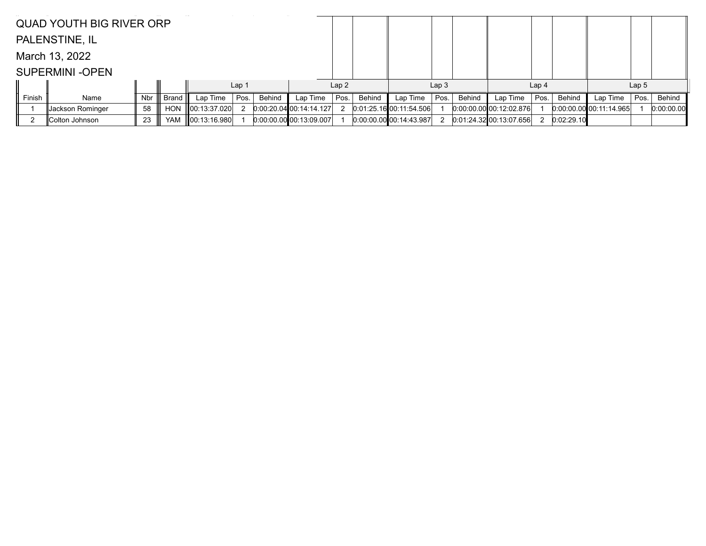|        | <b>QUAD YOUTH BIG RIVER ORP</b> |     |            |              |                  |        |                           |      |        |                           |                  |        |                           |                  |               |                         |                  |            |
|--------|---------------------------------|-----|------------|--------------|------------------|--------|---------------------------|------|--------|---------------------------|------------------|--------|---------------------------|------------------|---------------|-------------------------|------------------|------------|
|        | PALENSTINE, IL                  |     |            |              |                  |        |                           |      |        |                           |                  |        |                           |                  |               |                         |                  |            |
|        | March 13, 2022                  |     |            |              |                  |        |                           |      |        |                           |                  |        |                           |                  |               |                         |                  |            |
|        | <b>SUPERMINI-OPEN</b>           |     |            |              |                  |        |                           |      |        |                           |                  |        |                           |                  |               |                         |                  |            |
|        |                                 |     |            |              | Lap <sub>1</sub> |        |                           | Lap2 |        |                           | Lap <sub>3</sub> |        |                           | Lap <sub>4</sub> |               |                         | Lap <sub>5</sub> |            |
| Finish | Name                            | Nbr | Brand      | Lap Time     | Pos.             | Behind | Lap Time                  | Pos. | Behind | Lap Time                  | Pos.             | Behind | Lap Time                  | Pos.             | <b>Behind</b> | Lap Time                | Pos.             | Behind     |
|        | Jackson Rominger                | 58  | HON        | 00:13:37.020 |                  |        | 0.00.20.04 00.14.14.127   |      |        | $0.01:25.16$ 00:11:54.506 |                  |        | $0.00.00.00$ 00:12:02.876 |                  |               | 0.00.00.00 00:11:14.965 |                  | 0:00:00.00 |
|        | Colton Johnson                  | 23  | <b>YAM</b> | 00:13:16.980 |                  |        | $0:00:00.00$ 00:13:09.007 |      |        | $0:00:00.00$ 00:14:43.987 |                  |        | $0:01:24.32$ 00:13:07.656 |                  | 0:02:29.10    |                         |                  |            |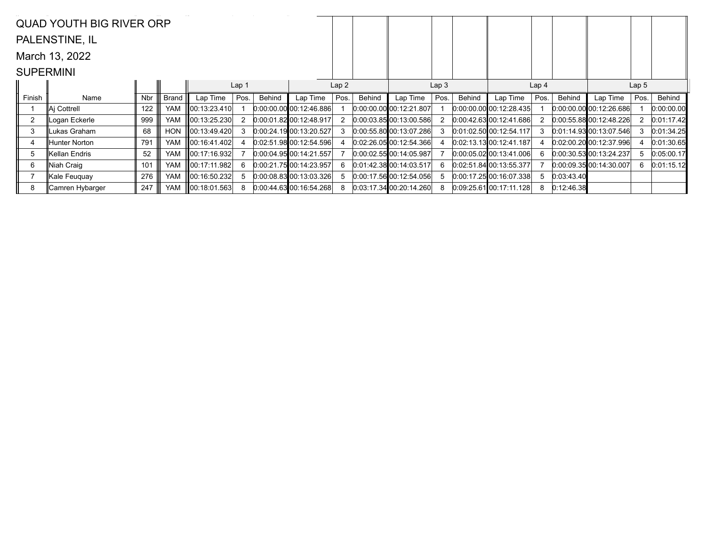|                  | <b>QUAD YOUTH BIG RIVER ORP</b> |     |            |                    |       |        |                             |      |        |                           |      |        |                           |                  |            |                             |      |            |
|------------------|---------------------------------|-----|------------|--------------------|-------|--------|-----------------------------|------|--------|---------------------------|------|--------|---------------------------|------------------|------------|-----------------------------|------|------------|
|                  | PALENSTINE, IL                  |     |            |                    |       |        |                             |      |        |                           |      |        |                           |                  |            |                             |      |            |
|                  | March 13, 2022                  |     |            |                    |       |        |                             |      |        |                           |      |        |                           |                  |            |                             |      |            |
| <b>SUPERMINI</b> |                                 |     |            |                    |       |        |                             |      |        |                           |      |        |                           |                  |            |                             |      |            |
|                  |                                 |     |            |                    | Lap 1 |        |                             | Lap2 |        | Lap <sub>3</sub>          |      |        |                           | Lap <sub>4</sub> |            | Lap <sub>5</sub>            |      |            |
| Finish           | Name                            | Nbr | Brand      | Lap Time           | Pos.  | Behind | Lap Time                    | Pos. | Behind | Lap Time                  | Pos. | Behind | Lap Time                  | Pos.             | Behind     | Lap Time                    | Pos. | Behind     |
|                  | ∥Ai Cottrell                    | 122 | <b>YAM</b> | ∥00:13:23.410      |       |        | 0.00.00.00 00.12.46.886     |      |        | $0:00:00.00$ 00:12:21.807 |      |        | $0:00:00.00$ 00:12:28.435 |                  |            | 0.00.00.00 00.12.26.686     |      | 0:00:00.00 |
| $\overline{2}$   | ∥Logan Eckerle                  | 999 | <b>YAM</b> | 00:13:25.230       | 2     |        | $[0.00:01.82]$ 00:12:48.917 |      |        | 0.00.03.8500:13.00.586    |      |        | 0.00:42.63[00:12.41.686]  |                  |            | 0.00:55.8800:12:48.226      |      | 0:01:17.42 |
| 3                | ukas Graham.                    | 68  | <b>HON</b> | 00:13:49.420       |       |        | 0.00:24.1900:13:20.527      |      |        | 0:00:55.80 00:13:07.286   |      |        | 0.01:02.5000:12:54.117    | 3                |            | $[0.01:14.93]$ 00:13:07.546 |      | 0:01:34.25 |
| 4                | ⊪Hunter Norton                  | 791 | <b>YAM</b> | 00:16:41.402       |       |        | 0.02:51.98 00:12:54.596     |      |        | 0.02:26.0500:12:54.366    |      |        | 0.02:13.13100:12:41.187   |                  |            | 0.02:00.20 00:12:37.996     |      | 0:01:30.65 |
| 5                | ∥Kellan Endris                  | 52  | <b>YAM</b> | 00:17:16.932       |       |        | $0:00:04.95$ 00:14:21.557   |      |        | 0:00:02.55 00:14:05.987   |      |        | 0.00.05.02100.13.41.006   | 6.               |            | 0:00:30.5300:13:24.237      |      | 0:05:00.17 |
| 6                | ∥Niah Craiq                     | 101 | <b>YAM</b> | 00:17:11.982       | 6     |        | 0.00:21.7500:14:23.957      |      |        | 0.01.42.38 00.14.03.517   |      |        | 0.02:51.84100:13:55.377   |                  |            | 0.00.09.3500:14.30.007      | 6.   | 0:01:15.12 |
|                  | ∥Kale Feuquay                   | 276 | <b>YAM</b> | ∥00:16:50.232      | 5     |        | 0.00.08.83 00.13.03.326     |      |        | 0.00:17.5600:12.54.056    |      |        | 0.00:17.2500:16.07.338    | 5                | 0:03:43.40 |                             |      |            |
| 8                | ∥Camren Hybarger                | 247 | YAM        | $\ 00:18:01.563\ $ | 8     |        | 0.00.44.63 00.16.54.268     |      |        | $0:03:17.34$ 00:20:14.260 |      |        | $0.09:25.61$ 00:17:11.128 | 8                | 0:12:46.38 |                             |      |            |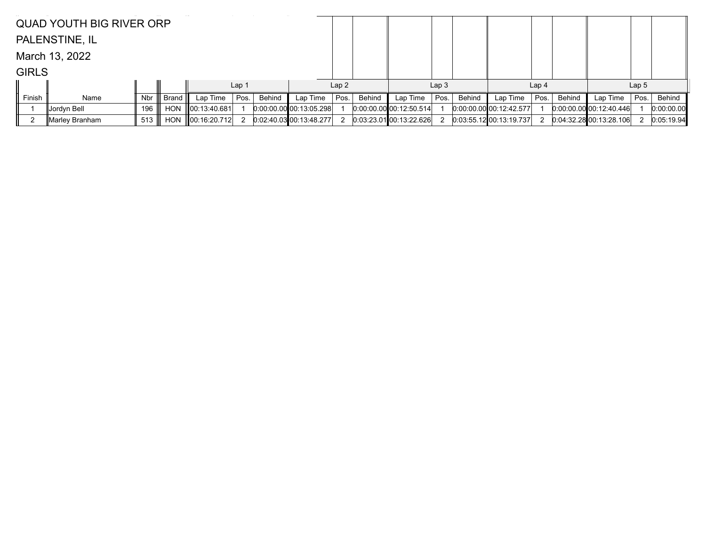|              | <b>QUAD YOUTH BIG RIVER ORP</b> |     |            |                    |                  |        |                           |      |        |                             |                  |        |                           |                  |               |                         |                  |            |
|--------------|---------------------------------|-----|------------|--------------------|------------------|--------|---------------------------|------|--------|-----------------------------|------------------|--------|---------------------------|------------------|---------------|-------------------------|------------------|------------|
|              | PALENSTINE, IL                  |     |            |                    |                  |        |                           |      |        |                             |                  |        |                           |                  |               |                         |                  |            |
|              | March 13, 2022                  |     |            |                    |                  |        |                           |      |        |                             |                  |        |                           |                  |               |                         |                  |            |
| <b>GIRLS</b> |                                 |     |            |                    |                  |        |                           |      |        |                             |                  |        |                           |                  |               |                         |                  |            |
|              |                                 |     |            |                    | Lap <sub>1</sub> |        |                           | Lap2 |        |                             | Lap <sub>3</sub> |        |                           | Lap <sub>4</sub> |               |                         | Lap <sub>5</sub> |            |
| Finish       | Name                            | Nbr | Brand II   | Lap Time           | Pos.             | Behind | Lap Time                  | Pos. | Behind | Lap Time                    | Pos.             | Behind | Lap Time                  | Pos.             | <b>Behind</b> | Lap Time                | Pos.             | Behind     |
|              | Jordyn Bell                     | 196 | <b>HON</b> | 00:13:40.681       |                  |        | $0:00:00.00$ 00:13:05.298 |      |        | 0:00:00.00 00:12:50.514     |                  |        | $0.00.00.00$ 00:12:42.577 |                  |               | 0.00.00.00000:12:40.446 |                  | 0:00:00.00 |
|              | ∥Marley Branham                 | 513 | <b>HON</b> | $\ 00:16:20.712\ $ |                  |        | $0.02:40.03$ 00:13:48.277 |      |        | $0.03:23.01$ $00:13:22.626$ |                  |        | $0:03:55.12$ 00:13:19.737 |                  |               | 0.04.32.28000.13.28106  |                  | 0:05:19.94 |